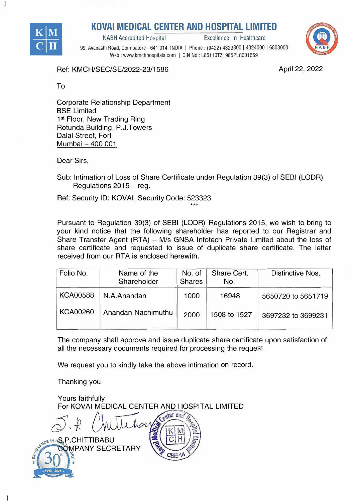

## **KOVAI MEDICAL CENTER AND HOSPITAL LIMITED**<br>Excellence in Healthcare

NABH Accredited Hospital



99, Avanashi Road, Coimbatore - 641 014. INDIA I Phone: (0422) 4323800 I 4324000 I 6803000 Web : www.kmchhospitals.com | CIN No: L85110TZ1985PLC001659

Ref: KMCH/SEC/SE/2022-23/1586

April 22, 2022

To

Corporate Relationship Department BSE Limited 1<sup>st</sup> Floor, New Trading Ring Rotunda Building, P.J.Towers Dalal Street, Fort Mumbai - 400 001

Dear Sirs,

Sub: Intimation of Loss of Share Certificate under Regulation 39(3) of SEBI (LODR) Regulations 2015 - reg.

Ref: Security ID: KOVAi, Security Code: 523323

Pursuant to Regulation 39(3) of SEBI (LODR) Regulations 2015, we wish to bring to your kind notice that the following shareholder has reported to our Registrar and Share Transfer Agent {RTA} - M/s GNSA lnfotech Private Limited about the loss of share certificate and requested to issue of duplicate share certificate. The letter received from our RTA is enclosed herewith.

\*\*\*

| Folio No.       | Name of the<br>Shareholder | No. of<br><b>Shares</b> | Share Cert.<br>No. | Distinctive Nos.   |
|-----------------|----------------------------|-------------------------|--------------------|--------------------|
| <b>KCA00588</b> | N.A.Anandan                | 1000                    | 16948              | 5650720 to 5651719 |
| <b>KCA00260</b> | Anandan Nachimuthu         | 2000                    | 1508 to 1527       | 3697232 to 3699231 |

The company shall approve and issue duplicate share certificate upon satisfaction of all the necessary documents required for processing the request.

We request you to kindly take the above intimation on record.

Thanking you

Yours faithfully For KOVAI MEDICAL CENTER AND HOSPITAL LIMITED

**ISLE IN HS. P.CHITTIBABU** ĴMPANY SECRETARY